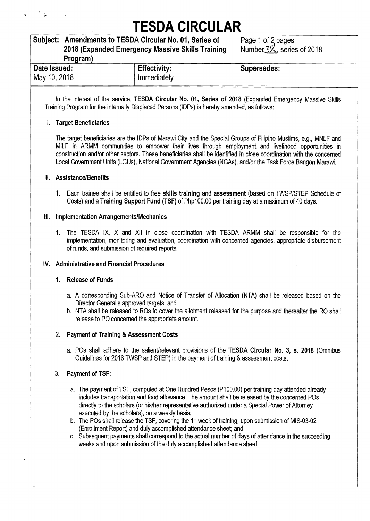# **TESDA CIRCULAR**

| Subject: Amendments to TESDA Circular No. 01, Series of<br>2018 (Expanded Emergency Massive Skills Training |                     | Page 1 of 2 pages<br>Number $3\&$ , series of 2018 |
|-------------------------------------------------------------------------------------------------------------|---------------------|----------------------------------------------------|
| Program)                                                                                                    |                     |                                                    |
| Date Issued:                                                                                                | <b>Effectivity:</b> | Supersedes:                                        |
| May 10, 2018                                                                                                | Immediately         |                                                    |

In the interest of the service, **TESDA Circular No. 01, Series of 2018** (Expanded Emergency Massive Skills Training Program for the Internally Displaced Persons (IDPs) is hereby amended, as follows:

#### **I. Target Beneficiaries**

The target beneficiaries are the IDPs of Marawi City and the Special Groups of Filipino Muslims, e.g., MNLF and MILF in ARMM communities to empower their lives through employment and livelihood opportunities in construction and/or other sectors. These beneficiaries shall be identified in close coordination with the concerned Local Government Units (LGUs), National Government Agencies (NGAs), and/or the Task Force Bangon Marawi.

#### **II. Assistance/Benefits**

1. Each trainee shall be entitled to free **skills training** and **assessment** (based on TWSP/STEP Schedule of Costs) and a **Training Support Fund (TSF)** of Php100.00 per training day at a maximum of 40 days.

#### **Ill. Implementation Arrangements/Mechanics**

1. The TESDA IX, X and XII in close coordination with TESDA ARMM shall be responsible for the implementation, monitoring and evaluation, coordination with concerned agencies, appropriate disbursement of funds, and submission of required reports.

#### **IV. Administrative and Financial Procedures**

#### 1. **Release of Funds**

- a. A corresponding Sub-ARO and Notice of Transfer of Allocation (NTA) shall be released based on the Director General's approved targets; and
- b. NTA shall be released to ROs to cover the allotment released for the purpose and thereafter the RO shall release to PO concerned the appropriate amount.

## 2. **Payment of Training & Assessment Costs**

a. POs shall adhere to the salient/relevant provisions of the **TESDA Circular No. 3, s. 2018** (Omnibus Guidelines for 2018 TWSP and STEP) in the payment of training & assessment costs.

## 3. **Payment of TSF:**

- a. The payment of TSF, computed at One Hundred Pesos (P100.00) per training day attended already includes transportation and food allowance. The amount shall be released by the concerned POs directly to the scholars (or his/her representative authorized under a Special Power of Attorney executed by the scholars), on a weekly basis;
- b. The POs shall release the TSF, covering the 1st week of training, upon submission of MIS-03-02 (Enrollment Report) and duly accomplished attendance sheet; and
- c. Subsequent payments shall correspond to the actual number of days of attendance in the succeeding weeks and upon submission of the duly accomplished attendance sheet.